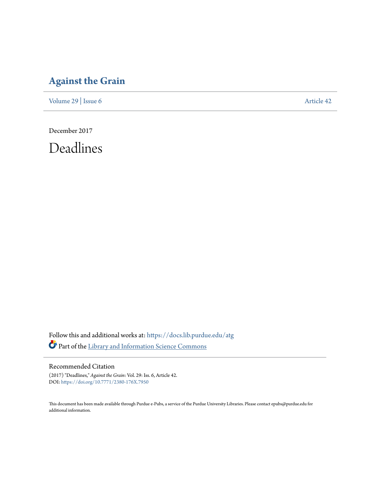## **[Against the Grain](https://docs.lib.purdue.edu/atg?utm_source=docs.lib.purdue.edu%2Fatg%2Fvol29%2Fiss6%2F42&utm_medium=PDF&utm_campaign=PDFCoverPages)**

[Volume 29](https://docs.lib.purdue.edu/atg/vol29?utm_source=docs.lib.purdue.edu%2Fatg%2Fvol29%2Fiss6%2F42&utm_medium=PDF&utm_campaign=PDFCoverPages) | [Issue 6](https://docs.lib.purdue.edu/atg/vol29/iss6?utm_source=docs.lib.purdue.edu%2Fatg%2Fvol29%2Fiss6%2F42&utm_medium=PDF&utm_campaign=PDFCoverPages) [Article 42](https://docs.lib.purdue.edu/atg/vol29/iss6/42?utm_source=docs.lib.purdue.edu%2Fatg%2Fvol29%2Fiss6%2F42&utm_medium=PDF&utm_campaign=PDFCoverPages)

December 2017

Deadlines

Follow this and additional works at: [https://docs.lib.purdue.edu/atg](https://docs.lib.purdue.edu/atg?utm_source=docs.lib.purdue.edu%2Fatg%2Fvol29%2Fiss6%2F42&utm_medium=PDF&utm_campaign=PDFCoverPages) Part of the [Library and Information Science Commons](http://network.bepress.com/hgg/discipline/1018?utm_source=docs.lib.purdue.edu%2Fatg%2Fvol29%2Fiss6%2F42&utm_medium=PDF&utm_campaign=PDFCoverPages)

### Recommended Citation

(2017) "Deadlines," *Against the Grain*: Vol. 29: Iss. 6, Article 42. DOI: <https://doi.org/10.7771/2380-176X.7950>

This document has been made available through Purdue e-Pubs, a service of the Purdue University Libraries. Please contact epubs@purdue.edu for additional information.